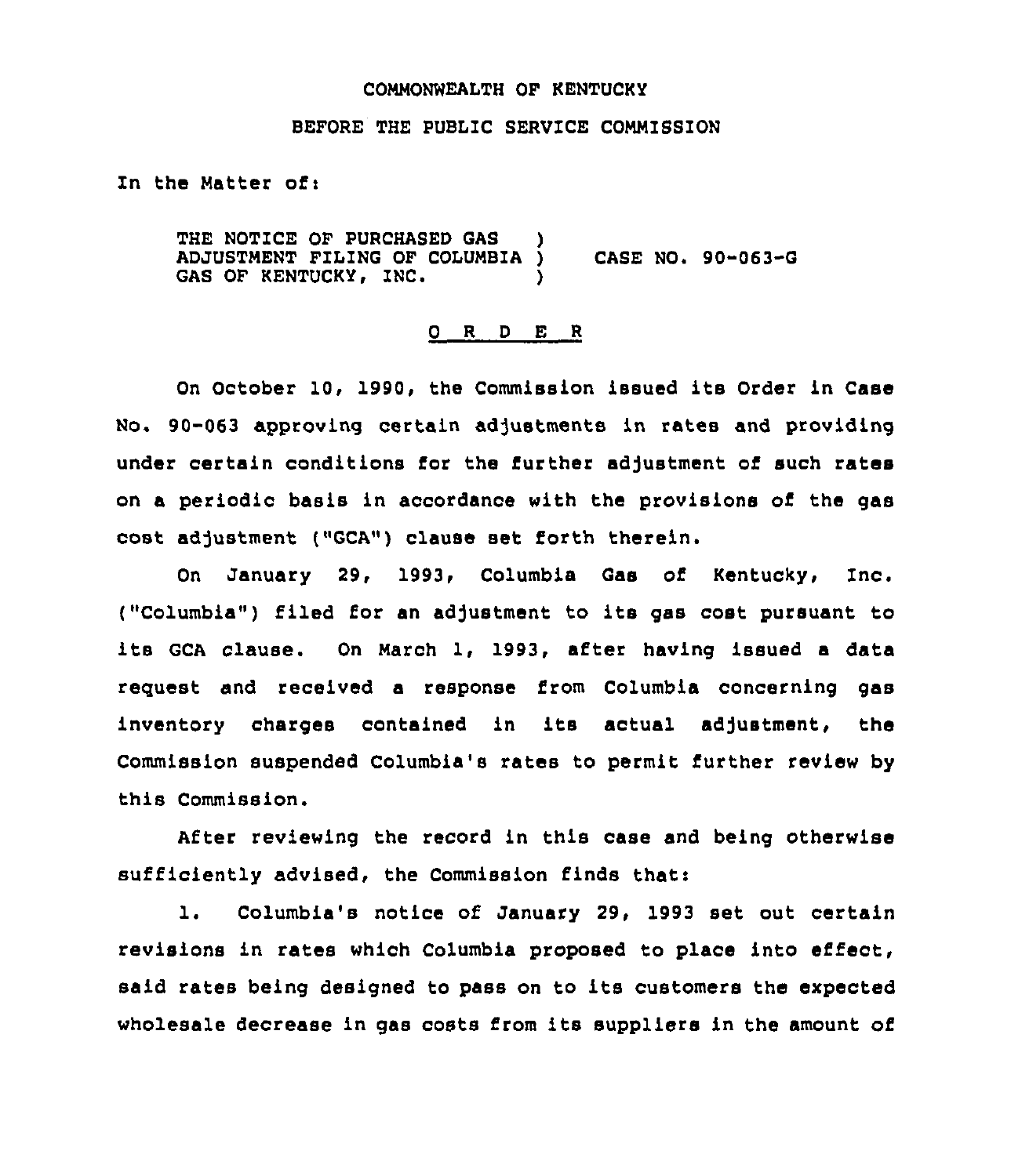## COMMONWEALTH OF KENTUCKY

#### BEFORE THE PUBLIC SERVICE COMMISSION

In the Matter of:

THE NOTICE OF PURCHASED GAS ADJUSTMENT FILING OF COLUMBIA ) CASE NO. 90-063-G GAS OF KENTUCKY, INC.

#### 0 <sup>R</sup> <sup>D</sup> E <sup>R</sup>

On October 10, 1990, the Commission issued its Order in Case No. 90-063 approving certain adjustments in rates and providing under certain conditions for the further adjustment of such rates on a periodic basis in accordance with the provisions of the gas cost adjustment ("GCA") clause set forth therein.

On January 29, 1993, Columbia Gas of Kentucky, Inc. ("Columbia") filed for an adjustment to its gas cost pursuant to its GCA clause. On March 1, 1993, after having issued <sup>a</sup> data request and received a response from Columbia concerning gas inventory charges contained in its actual adjustment, the Commission suspended Columbia's rates to permit further review by this Commission.

After reviewing the record in this case and being otherwise sufficiently advised, the Commission finds that:

1. Columbia's notice of January 29, 1993 set out certain revisions in rates which Columbia proposed to place into effect, said rates being designed to pass on to its customers the expected wholesale decrease in gas costs from its suppliers in the amount of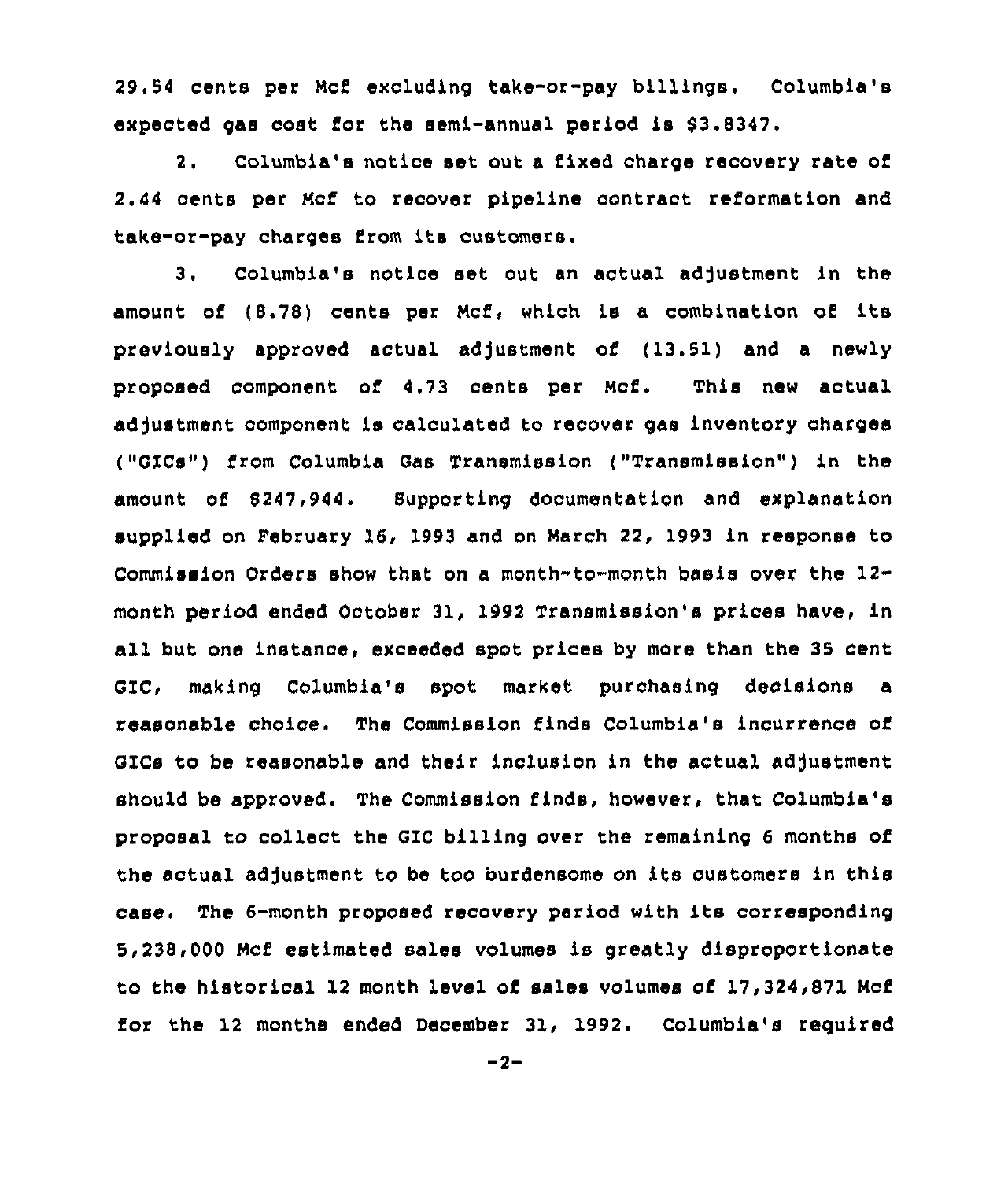29.54 cents per Mcf excluding take-or-pay billings. Columbia's expected gas cost for the semi-annual period is 63.8347.

2. Columbia's notice set out a fixed charge recovery rata of 2.44 cents per Mcf to recover pipeline contract reformation and take-or-pay charges from its customers.

3. Columbia's notice set out an actual adjustment in the amount of (B.78) cents per Ncf, which is a combination of its previously approved actual adjustment of (13.51) and a newly proposed component of 4,73 cents per Ncf. This new actual adjustment component is calculated to recover gas inventory charges ("GXCs") from Columbia Gas Transmission ("Transmission" ) in the amount of 6247,944. Supporting documentation and explanation supplied on February 16. 1993 and on March 22, 1993 in response to Commission Orders show that on a month-to-month basis over the 12 month period ended October 31, 1992 Transmission's prices have, in all but one instance, exceeded spot prices by more than the 35 cent GIC, making Columbia's spot market purchasing decisions a reasonable choice. The Commission finds Columbia's incurrence of GICs to be reasonable and their inclusion in the actual adjustment should be approved. The Commission finds, however, that Columbia's proposal to collect the GIC billing over the remaining 6 months of the actual adjustment to be too burdensome on its customers in this case. The 6-month proposed recovery period with its corresponding 5,238,000 Mcf estimated sales volumes is greatly disproportionate to the historical 12 month level of sales volumes of  $17,324,871$  Mcf for the 12 months ended December 31, 1992. Columbia's required

 $-2-$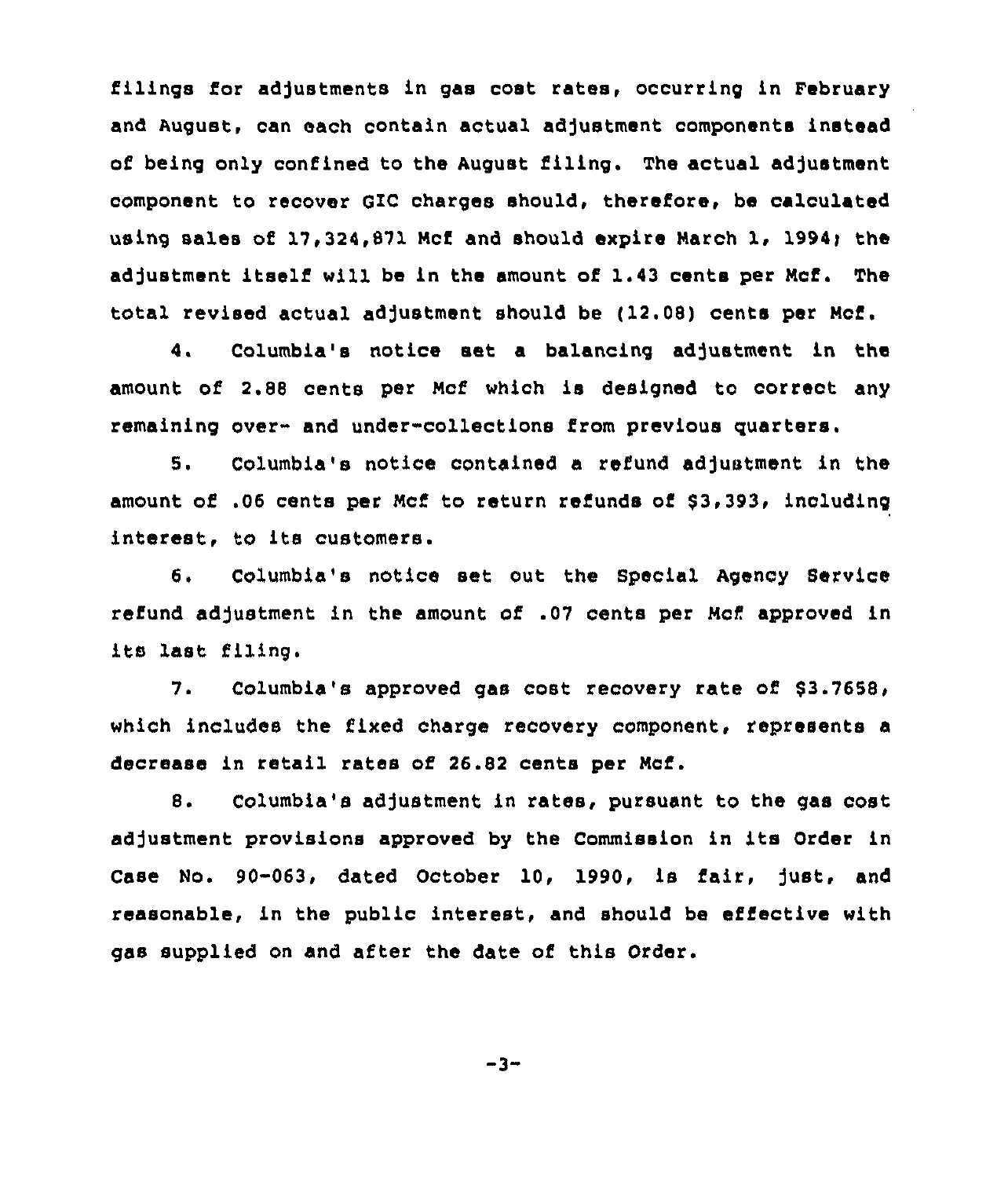filings for adjustments in gas cost rates, occurring in February and August, can each contain actual adjustment components instead of being only confined to the August filing. The actual adjustment component to recover GZC charges should, therefore, be calculated using sales of 17,324,871 Mcf and should expire March 1, 1994; the adjustment itself will be in the amount of 1.43 cents per Mcf. The total revised actual adjustment should be ( 12.08) cents per Mcf.

4. Columbia's notice set a balancing adjustment in the amount of 2.88 cents per Ncf which is designed to correct any remaining over- and under-collections from previous quarters.

5. Columbia's notice contained a refund adjustment in the amount of .06 cents per Ncf to return refunds of 83,393, including interest, to its customers.

6. Columbia's notice set out the Special Agency Service refund adjustment in the amount of .07 cents per Mcf approved in its last filing.

7. Columbia's approved gas cost recovery rate of 83.7658, which includes the fixed charge recovery component, represents a decrease in retail rates of 26.82 cents per Mcf.

8. Columbia's adjustment in rates, pursuant to the gas cost adjustment provisions approved by the Commission in its Order in Case No. 90-063, dated October 10, 1990, is fair, just, and reasonable, in the public interest, and should be effective with gss supplied on and after the date of this Order.

 $-3-$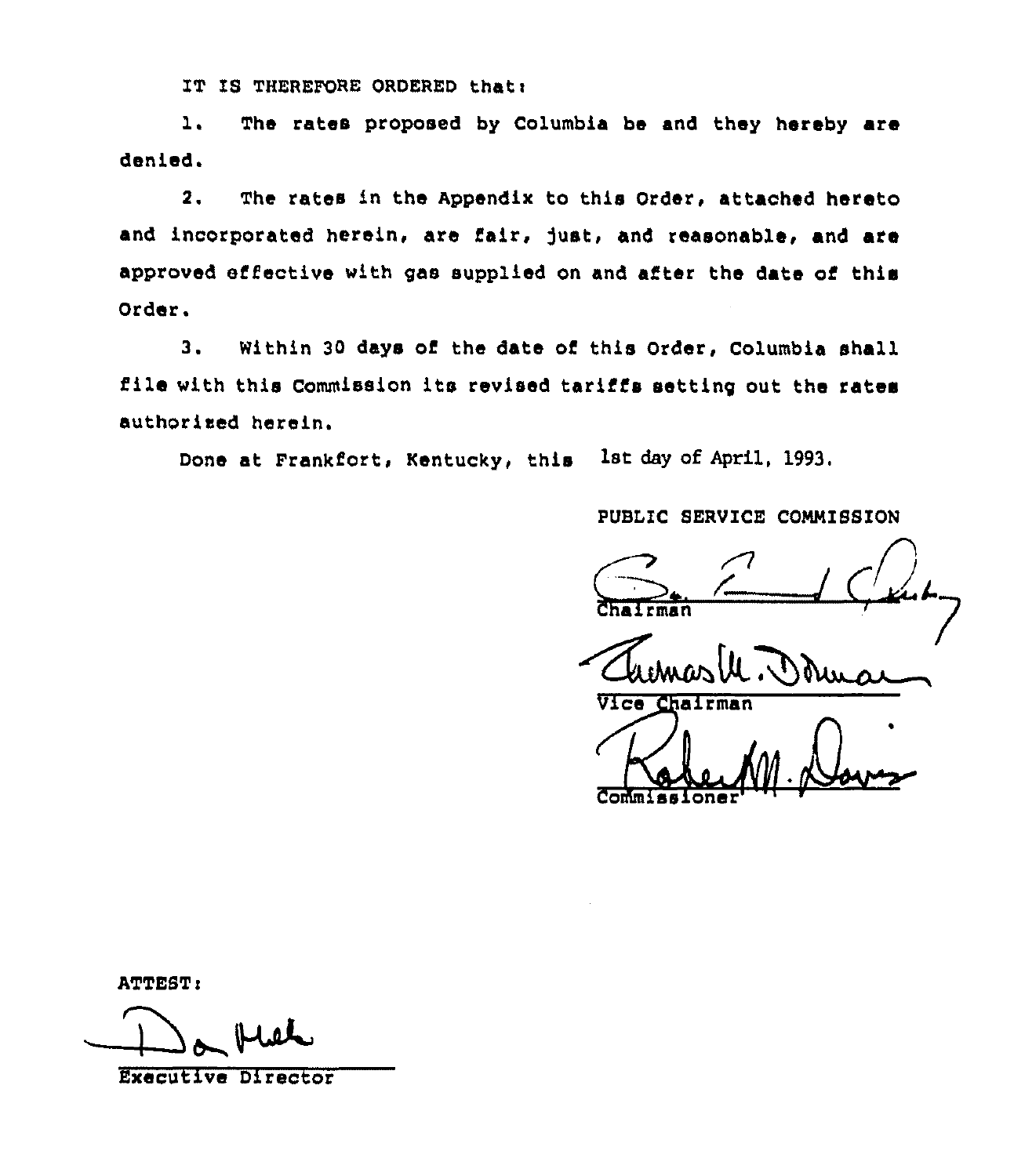IT IS THEREFORE ORDERED that:

l. The rates proposed by Columbia be and they hereby are denied.

2. The rates in the Appendix to this Order, attached hereto and incorporated herein, are fair, just, and reasonable, and are approved effective with gas supplied on and after the date of this Order.

3. Within <sup>30</sup> days of the date of this Order, Columbia shall file with this Commission its revised tariffs setting out the rates authorised herein.

Done at Frankfort, Kentucky, this 1st day of April, 1993.

## PUBLIC SERVICE COMMISSIO

PUBLIC SERVICE COMMISSION

Vice Chairman

ATTEST:<br>Da Hiel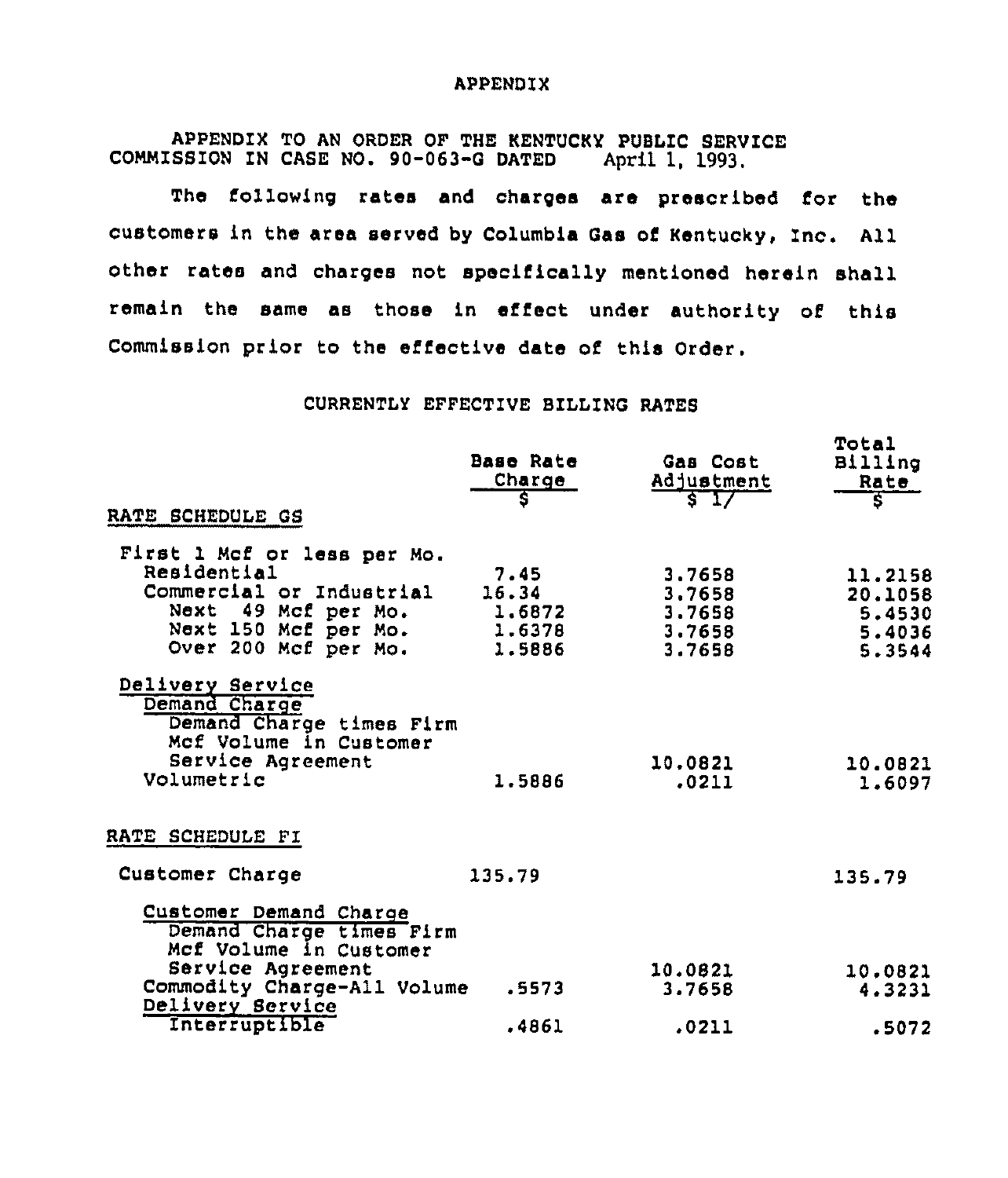### APPENDIX

APPENDIX TO AN ORDER OF THE KENTUCKY PUBLIC SERVICE<br>SSION IN CASE NO. 90-063-G DATED April 1, 1993. COMMISSION IN CASE NO. 90-063-G DATED

The following rates and charges are prescribed for the customers in the area served by Columbia Gas of Kentucky, Inc. All other rates and charges not specifically mentioned herein shall remain the same as those in effect under authority of this Commission prior to the effective date of this Order.

## CURRENTLY EFFECTIVE BILLING RATES

| RATE SCHEDULE GS                                                                                   | Base Rate<br>Charge<br>S            | Gas Cost<br>Adjustment<br>$\sqrt{2}$ | Total<br>Billing<br>Rate<br>इ         |
|----------------------------------------------------------------------------------------------------|-------------------------------------|--------------------------------------|---------------------------------------|
| First 1 Mcf or less per Mo.<br>Residential                                                         | 7.45                                | 3,7658                               | 11.2158                               |
| Commercial or Industrial<br>49 Mcf per Mo.<br>Next<br>Next 150 Mcf per Mo.<br>Over 200 Mcf per Mo. | 16.34<br>1.6872<br>1.6378<br>1.5886 | 3,7658<br>3,7658<br>3.7658<br>3.7658 | 20.1058<br>5.4530<br>5.4036<br>5.3544 |
| Delivery Service<br>Demand Charge<br>Demand Charge times Firm<br>Mcf Volume in Customer            |                                     |                                      |                                       |
| Service Agreement<br>Volumetric                                                                    | 1.5886                              | 10.0821<br>.0211                     | 10.0821<br>1.6097                     |
| RATE SCHEDULE FI                                                                                   |                                     |                                      |                                       |
| Customer Charge                                                                                    | 135.79                              |                                      | 135.79                                |
| Customer Demand Charge<br>Demand Charge times Firm<br>Mcf Volume in Customer                       |                                     |                                      |                                       |
| Service Agreement<br>Commodity Charge-All Volume                                                   | .5573                               | 10.0821<br>3.7658                    | 10.0821<br>4.3231                     |
| Delivery Service<br>Interruptible                                                                  | .4861                               | .0211                                | .5072                                 |
|                                                                                                    |                                     |                                      |                                       |